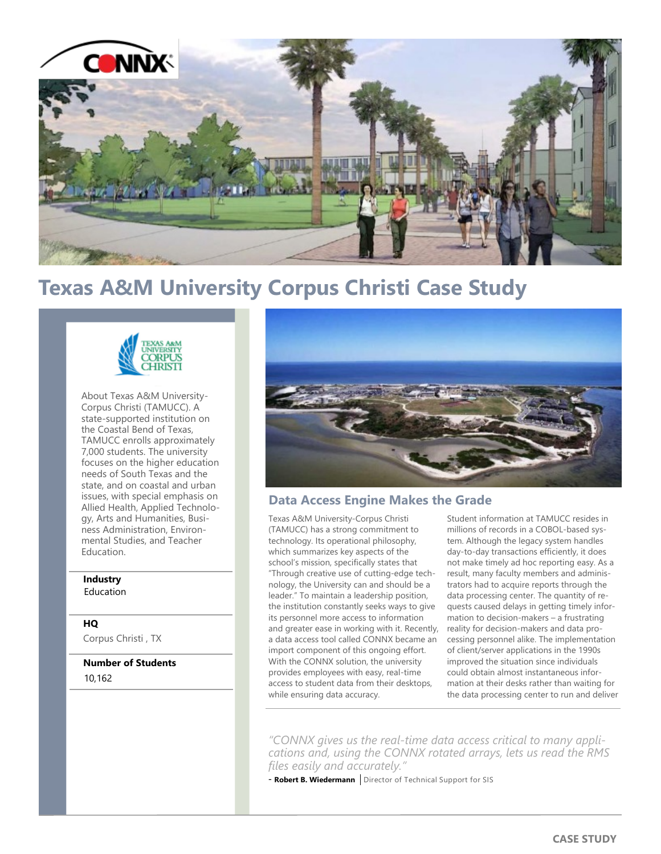

# **Texas A&M University Corpus Christi Case Study**



About Texas A&M University-Corpus Christi (TAMUCC). A state-supported institution on the Coastal Bend of Texas, TAMUCC enrolls approximately 7,000 students. The university focuses on the higher education needs of South Texas and the state, and on coastal and urban issues, with special emphasis on Allied Health, Applied Technology, Arts and Humanities, Business Administration, Environmental Studies, and Teacher **Education** 

#### **Industry** Education

# **HQ**

Corpus Christi , TX

**Number of Students** 10,162



## **Data Access Engine Makes the Grade**

Texas A&M University-Corpus Christi (TAMUCC) has a strong commitment to technology. Its operational philosophy, which summarizes key aspects of the school's mission, specifically states that "Through creative use of cutting-edge technology, the University can and should be a leader." To maintain a leadership position, the institution constantly seeks ways to give its personnel more access to information and greater ease in working with it. Recently, a data access tool called CONNX became an import component of this ongoing effort. With the CONNX solution, the university provides employees with easy, real-time access to student data from their desktops, while ensuring data accuracy.

Student information at TAMUCC resides in millions of records in a COBOL-based system. Although the legacy system handles day-to-day transactions efficiently, it does not make timely ad hoc reporting easy. As a result, many faculty members and administrators had to acquire reports through the data processing center. The quantity of requests caused delays in getting timely information to decision-makers – a frustrating reality for decision-makers and data processing personnel alike. The implementation of client/server applications in the 1990s improved the situation since individuals could obtain almost instantaneous information at their desks rather than waiting for the data processing center to run and deliver

*"CONNX gives us the real-time data access critical to many applications and, using the CONNX rotated arrays, lets us read the RMS files easily and accurately."* 

- **Robert B. Wiedermann** | Director of Technical Support for SIS